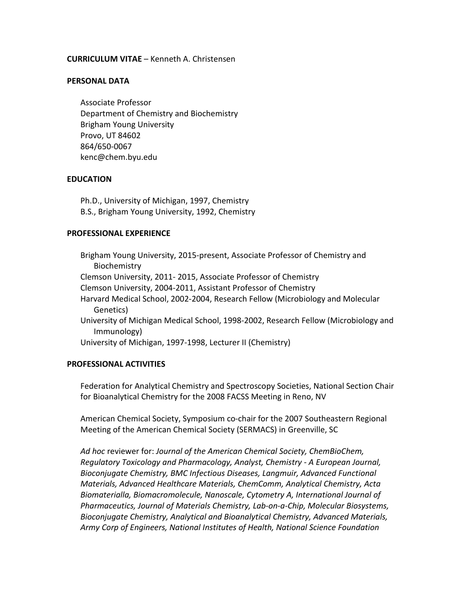## **CURRICULUM VITAE** – Kenneth A. Christensen

#### **PERSONAL DATA**

Associate Professor Department of Chemistry and Biochemistry Brigham Young University Provo, UT 84602 864/650-0067 kenc@chem.byu.edu

#### **EDUCATION**

Ph.D., University of Michigan, 1997, Chemistry B.S., Brigham Young University, 1992, Chemistry

#### **PROFESSIONAL EXPERIENCE**

Brigham Young University, 2015-present, Associate Professor of Chemistry and Biochemistry Clemson University, 2011- 2015, Associate Professor of Chemistry Clemson University, 2004-2011, Assistant Professor of Chemistry Harvard Medical School, 2002-2004, Research Fellow (Microbiology and Molecular Genetics) University of Michigan Medical School, 1998-2002, Research Fellow (Microbiology and Immunology) University of Michigan, 1997-1998, Lecturer II (Chemistry)

## **PROFESSIONAL ACTIVITIES**

Federation for Analytical Chemistry and Spectroscopy Societies, National Section Chair for Bioanalytical Chemistry for the 2008 FACSS Meeting in Reno, NV

American Chemical Society, Symposium co-chair for the 2007 Southeastern Regional Meeting of the American Chemical Society (SERMACS) in Greenville, SC

*Ad hoc* reviewer for: *Journal of the American Chemical Society, ChemBioChem, Regulatory Toxicology and Pharmacology, Analyst, Chemistry - A European Journal, Bioconjugate Chemistry, BMC Infectious Diseases, Langmuir, Advanced Functional Materials, Advanced Healthcare Materials, ChemComm, Analytical Chemistry, Acta Biomaterialla, Biomacromolecule, Nanoscale, Cytometry A, International Journal of Pharmaceutics, Journal of Materials Chemistry, Lab-on-a-Chip, Molecular Biosystems, Bioconjugate Chemistry, Analytical and Bioanalytical Chemistry, Advanced Materials, Army Corp of Engineers, National Institutes of Health, National Science Foundation*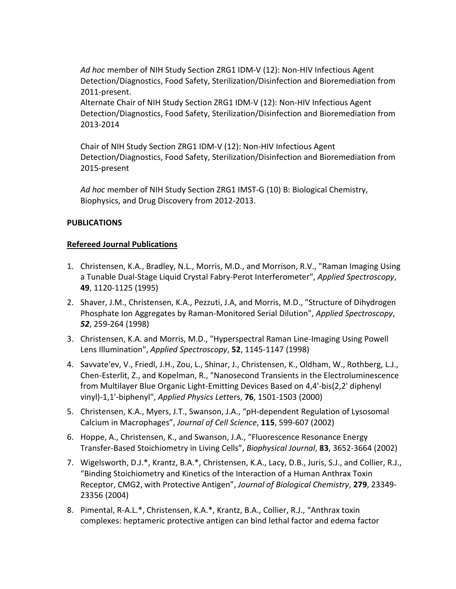*Ad hoc* member of NIH Study Section ZRG1 IDM-V (12): Non-HIV Infectious Agent Detection/Diagnostics, Food Safety, Sterilization/Disinfection and Bioremediation from 2011-present.

Alternate Chair of NIH Study Section ZRG1 IDM-V (12): Non-HIV Infectious Agent Detection/Diagnostics, Food Safety, Sterilization/Disinfection and Bioremediation from 2013-2014

Chair of NIH Study Section ZRG1 IDM-V (12): Non-HIV Infectious Agent Detection/Diagnostics, Food Safety, Sterilization/Disinfection and Bioremediation from 2015-present

*Ad hoc* member of NIH Study Section ZRG1 IMST-G (10) B: Biological Chemistry, Biophysics, and Drug Discovery from 2012-2013.

# **PUBLICATIONS**

# **Refereed Journal Publications**

- 1. Christensen, K.A., Bradley, N.L., Morris, M.D., and Morrison, R.V., "Raman Imaging Using a Tunable Dual-Stage Liquid Crystal Fabry-Perot Interferometer", *Applied Spectroscopy*, **49**, 1120-1125 (1995)
- 2. Shaver, J.M., Christensen, K.A., Pezzuti, J.A, and Morris, M.D., "Structure of Dihydrogen Phosphate Ion Aggregates by Raman-Monitored Serial Dilution", *Applied Spectroscopy*, *52*, 259-264 (1998)
- 3. Christensen, K.A. and Morris, M.D., "Hyperspectral Raman Line-Imaging Using Powell Lens Illumination", *Applied Spectroscopy*, **52**, 1145-1147 (1998)
- 4. Savvate'ev, V., Friedl, J.H., Zou, L., Shinar, J., Christensen, K., Oldham, W., Rothberg, L.J., Chen-Esterlit, Z., and Kopelman, R., "Nanosecond Transients in the Electroluminescence from Multilayer Blue Organic Light-Emitting Devices Based on 4,4'-bis(2,2' diphenyl vinyl)-1,1'-biphenyl", *Applied Physics Lett*ers, **76**, 1501-1503 (2000)
- 5. Christensen, K.A., Myers, J.T., Swanson, J.A., "pH-dependent Regulation of Lysosomal Calcium in Macrophages", *Journal of Cell Science*, **115**, 599-607 (2002)
- 6. Hoppe, A., Christensen, K., and Swanson, J.A., "Fluorescence Resonance Energy Transfer-Based Stoichiometry in Living Cells", *Biophysical Journal*, **83**, 3652-3664 (2002)
- 7. Wigelsworth, D.J.\*, Krantz, B.A.\*, Christensen, K.A., Lacy, D.B., Juris, S.J., and Collier, R.J., "Binding Stoichiometry and Kinetics of the Interaction of a Human Anthrax Toxin Receptor, CMG2, with Protective Antigen", *Journal of Biological Chemistry*, **279**, 23349- 23356 (2004)
- 8. Pimental, R-A.L.\*, Christensen, K.A.\*, Krantz, B.A., Collier, R.J., "Anthrax toxin complexes: heptameric protective antigen can bind lethal factor and edema factor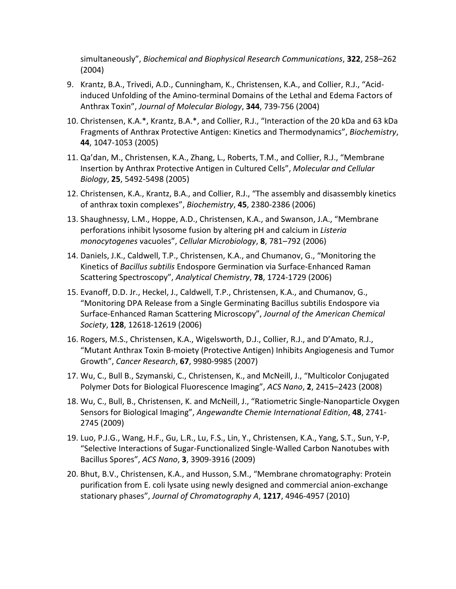simultaneously", *Biochemical and Biophysical Research Communications*, **322**, 258–262 (2004)

- 9. Krantz, B.A., Trivedi, A.D., Cunningham, K., Christensen, K.A., and Collier, R.J., "Acidinduced Unfolding of the Amino-terminal Domains of the Lethal and Edema Factors of Anthrax Toxin", *Journal of Molecular Biology*, **344**, 739-756 (2004)
- 10. Christensen, K.A.\*, Krantz, B.A.\*, and Collier, R.J., "Interaction of the 20 kDa and 63 kDa Fragments of Anthrax Protective Antigen: Kinetics and Thermodynamics", *Biochemistry*, **44**, 1047-1053 (2005)
- 11. Qa'dan, M., Christensen, K.A., Zhang, L., Roberts, T.M., and Collier, R.J., "Membrane Insertion by Anthrax Protective Antigen in Cultured Cells", *Molecular and Cellular Biology*, **25**, 5492-5498 (2005)
- 12. Christensen, K.A., Krantz, B.A., and Collier, R.J., "The assembly and disassembly kinetics of anthrax toxin complexes", *Biochemistry*, **45**, 2380-2386 (2006)
- 13. Shaughnessy, L.M., Hoppe, A.D., Christensen, K.A., and Swanson, J.A., "Membrane perforations inhibit lysosome fusion by altering pH and calcium in *Listeria monocytogenes* vacuoles", *Cellular Microbiology*, **8**, 781–792 (2006)
- 14. Daniels, J.K., Caldwell, T.P., Christensen, K.A., and Chumanov, G., "Monitoring the Kinetics of *Bacillus subtilis* Endospore Germination via Surface-Enhanced Raman Scattering Spectroscopy", *Analytical Chemistry*, **78**, 1724-1729 (2006)
- 15. Evanoff, D.D. Jr., Heckel, J., Caldwell, T.P., Christensen, K.A., and Chumanov, G., "Monitoring DPA Release from a Single Germinating Bacillus subtilis Endospore via Surface-Enhanced Raman Scattering Microscopy", *Journal of the American Chemical Society*, **128**, 12618-12619 (2006)
- 16. Rogers, M.S., Christensen, K.A., Wigelsworth, D.J., Collier, R.J., and D'Amato, R.J., "Mutant Anthrax Toxin B-moiety (Protective Antigen) Inhibits Angiogenesis and Tumor Growth", *Cancer Research*, **67**, 9980-9985 (2007)
- 17. Wu, C., Bull B., Szymanski, C., Christensen, K., and McNeill, J., "Multicolor Conjugated Polymer Dots for Biological Fluorescence Imaging", *ACS Nano*, **2**, 2415–2423 (2008)
- 18. Wu, C., Bull, B., Christensen, K. and McNeill, J., "Ratiometric Single-Nanoparticle Oxygen Sensors for Biological Imaging", *Angewandte Chemie International Edition*, **48**, 2741- 2745 (2009)
- 19. Luo, P.J.G., Wang, H.F., Gu, L.R., Lu, F.S., Lin, Y., Christensen, K.A., Yang, S.T., Sun, Y-P, "Selective Interactions of Sugar-Functionalized Single-Walled Carbon Nanotubes with Bacillus Spores", *ACS Nano*, **3**, 3909-3916 (2009)
- 20. Bhut, B.V., Christensen, K.A., and Husson, S.M., "Membrane chromatography: Protein purification from E. coli lysate using newly designed and commercial anion-exchange stationary phases", *Journal of Chromatography A*, **1217**, 4946-4957 (2010)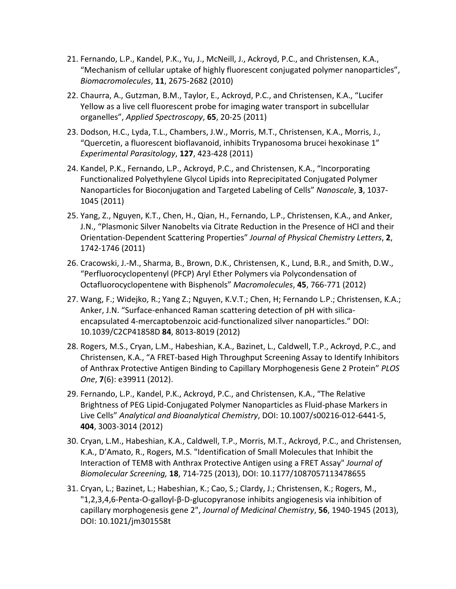- 21. Fernando, L.P., Kandel, P.K., Yu, J., McNeill, J., Ackroyd, P.C., and Christensen, K.A., "Mechanism of cellular uptake of highly fluorescent conjugated polymer nanoparticles", *Biomacromolecules*, **11**, 2675-2682 (2010)
- 22. Chaurra, A., Gutzman, B.M., Taylor, E., Ackroyd, P.C., and Christensen, K.A., "Lucifer Yellow as a live cell fluorescent probe for imaging water transport in subcellular organelles", *Applied Spectroscopy*, **65**, 20-25 (2011)
- 23. Dodson, H.C., Lyda, T.L., Chambers, J.W., Morris, M.T., Christensen, K.A., Morris, J., "Quercetin, a fluorescent bioflavanoid, inhibits Trypanosoma brucei hexokinase 1" *Experimental Parasitology*, **127**, 423-428 (2011)
- 24. Kandel, P.K., Fernando, L.P., Ackroyd, P.C., and Christensen, K.A., "Incorporating Functionalized Polyethylene Glycol Lipids into Reprecipitated Conjugated Polymer Nanoparticles for Bioconjugation and Targeted Labeling of Cells" *Nanoscale*, **3**, 1037- 1045 (2011)
- 25. Yang, Z., Nguyen, K.T., Chen, H., Qian, H., Fernando, L.P., Christensen, K.A., and Anker, J.N., "Plasmonic Silver Nanobelts via Citrate Reduction in the Presence of HCl and their Orientation-Dependent Scattering Properties" *Journal of Physical Chemistry Letters*, **2**, 1742-1746 (2011)
- 26. Cracowski, J.-M., Sharma, B., Brown, D.K., Christensen, K., Lund, B.R., and Smith, D.W., "Perfluorocyclopentenyl (PFCP) Aryl Ether Polymers via Polycondensation of Octafluorocyclopentene with Bisphenols" *Macromolecules*, **45**, 766-771 (2012)
- 27. Wang, F.; Widejko, R.; Yang Z.; Nguyen, K.V.T.; Chen, H; Fernando L.P.; Christensen, K.A.; Anker, J.N. "Surface-enhanced Raman scattering detection of pH with silicaencapsulated 4-mercaptobenzoic acid-functionalized silver nanoparticles." DOI: 10.1039/C2CP41858D **84**, 8013-8019 (2012)
- 28. Rogers, M.S., Cryan, L.M., Habeshian, K.A., Bazinet, L., Caldwell, T.P., Ackroyd, P.C., and Christensen, K.A., "A FRET-based High Throughput Screening Assay to Identify Inhibitors of Anthrax Protective Antigen Binding to Capillary Morphogenesis Gene 2 Protein" *PLOS One*, **7**(6): e39911 (2012).
- 29. Fernando, L.P., Kandel, P.K., Ackroyd, P.C., and Christensen, K.A., "The Relative Brightness of PEG Lipid-Conjugated Polymer Nanoparticles as Fluid-phase Markers in Live Cells" *Analytical and Bioanalytical Chemistry*, DOI: 10.1007/s00216-012-6441-5, **404**, 3003-3014 (2012)
- 30. Cryan, L.M., Habeshian, K.A., Caldwell, T.P., Morris, M.T., Ackroyd, P.C., and Christensen, K.A., D'Amato, R., Rogers, M.S. "Identification of Small Molecules that Inhibit the Interaction of TEM8 with Anthrax Protective Antigen using a FRET Assay" *Journal of Biomolecular Screening,* **18**, 714-725 (2013), DOI: 10.1177/1087057113478655
- 31. Cryan, L.; Bazinet, L.; Habeshian, K.; Cao, S.; Clardy, J.; Christensen, K.; Rogers, M., "1,2,3,4,6-Penta-O-galloyl-β-D-glucopyranose inhibits angiogenesis via inhibition of capillary morphogenesis gene 2", *Journal of Medicinal Chemistry*, **56**, 1940-1945 (2013), DOI: 10.1021/jm301558t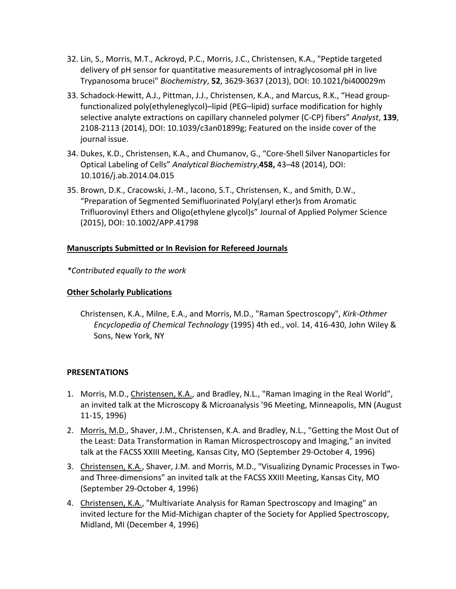- 32. Lin, S., Morris, M.T., Ackroyd, P.C., Morris, J.C., Christensen, K.A., "Peptide targeted delivery of pH sensor for quantitative measurements of intraglycosomal pH in live Trypanosoma brucei" *Biochemistry*, **52**, 3629-3637 (2013), DOI: 10.1021/bi400029m
- 33. Schadock-Hewitt, A.J., Pittman, J.J., Christensen, K.A., and Marcus, R.K., "Head groupfunctionalized poly(ethyleneglycol)–lipid (PEG–lipid) surface modification for highly selective analyte extractions on capillary channeled polymer (C-CP) fibers" *Analyst*, **139**, 2108-2113 (2014), DOI: 10.1039/c3an01899g; Featured on the inside cover of the journal issue.
- 34. Dukes, K.D., Christensen, K.A., and Chumanov, G., "Core-Shell Silver Nanoparticles for Optical Labeling of Cells" *Analytical Biochemistry*,**458,** 43–48 (2014), DOI: 10.1016/j.ab.2014.04.015
- 35. Brown, D.K., Cracowski, J.-M., Iacono, S.T., Christensen, K., and Smith, D.W., "Preparation of Segmented Semifluorinated Poly(aryl ether)s from Aromatic Trifluorovinyl Ethers and Oligo(ethylene glycol)s" Journal of Applied Polymer Science (2015), DOI: 10.1002/APP.41798

# **Manuscripts Submitted or In Revision for Refereed Journals**

*\*Contributed equally to the work*

# **Other Scholarly Publications**

Christensen, K.A., Milne, E.A., and Morris, M.D., "Raman Spectroscopy", *Kirk-Othmer Encyclopedia of Chemical Technology* (1995) 4th ed., vol. 14, 416-430, John Wiley & Sons, New York, NY

# **PRESENTATIONS**

- 1. Morris, M.D., Christensen, K.A., and Bradley, N.L., "Raman Imaging in the Real World", an invited talk at the Microscopy & Microanalysis '96 Meeting, Minneapolis, MN (August 11-15, 1996)
- 2. Morris, M.D., Shaver, J.M., Christensen, K.A. and Bradley, N.L., "Getting the Most Out of the Least: Data Transformation in Raman Microspectroscopy and Imaging," an invited talk at the FACSS XXIII Meeting, Kansas City, MO (September 29-October 4, 1996)
- 3. Christensen, K.A., Shaver, J.M. and Morris, M.D., "Visualizing Dynamic Processes in Twoand Three-dimensions" an invited talk at the FACSS XXIII Meeting, Kansas City, MO (September 29-October 4, 1996)
- 4. Christensen, K.A., "Multivariate Analysis for Raman Spectroscopy and Imaging" an invited lecture for the Mid-Michigan chapter of the Society for Applied Spectroscopy, Midland, MI (December 4, 1996)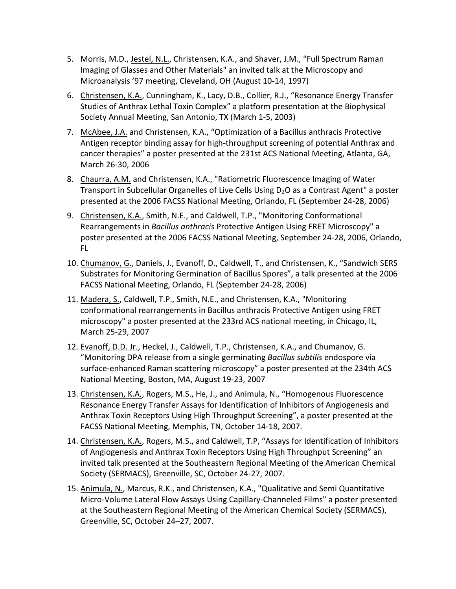- 5. Morris, M.D., Jestel, N.L., Christensen, K.A., and Shaver, J.M., "Full Spectrum Raman Imaging of Glasses and Other Materials" an invited talk at the Microscopy and Microanalysis '97 meeting, Cleveland, OH (August 10-14, 1997)
- 6. Christensen, K.A., Cunningham, K., Lacy, D.B., Collier, R.J., "Resonance Energy Transfer Studies of Anthrax Lethal Toxin Complex" a platform presentation at the Biophysical Society Annual Meeting, San Antonio, TX (March 1-5, 2003)
- 7. McAbee, J.A. and Christensen, K.A., "Optimization of a Bacillus anthracis Protective Antigen receptor binding assay for high-throughput screening of potential Anthrax and cancer therapies" a poster presented at the 231st ACS National Meeting, Atlanta, GA, March 26-30, 2006
- 8. Chaurra, A.M. and Christensen, K.A., "Ratiometric Fluorescence Imaging of Water Transport in Subcellular Organelles of Live Cells Using D2O as a Contrast Agent" a poster presented at the 2006 FACSS National Meeting, Orlando, FL (September 24-28, 2006)
- 9. Christensen, K.A., Smith, N.E., and Caldwell, T.P., "Monitoring Conformational Rearrangements in *Bacillus anthracis* Protective Antigen Using FRET Microscopy" a poster presented at the 2006 FACSS National Meeting, September 24-28, 2006, Orlando, FL
- 10. Chumanov, G., Daniels, J., Evanoff, D., Caldwell, T., and Christensen, K., "Sandwich SERS Substrates for Monitoring Germination of Bacillus Spores", a talk presented at the 2006 FACSS National Meeting, Orlando, FL (September 24-28, 2006)
- 11. Madera, S., Caldwell, T.P., Smith, N.E., and Christensen, K.A., "Monitoring conformational rearrangements in Bacillus anthracis Protective Antigen using FRET microscopy" a poster presented at the 233rd ACS national meeting, in Chicago, IL, March 25-29, 2007
- 12. Evanoff, D.D. Jr., Heckel, J., Caldwell, T.P., Christensen, K.A., and Chumanov, G. "Monitoring DPA release from a single germinating *Bacillus subtilis* endospore via surface-enhanced Raman scattering microscopy" a poster presented at the 234th ACS National Meeting, Boston, MA, August 19-23, 2007
- 13. Christensen, K.A., Rogers, M.S., He, J., and Animula, N., "Homogenous Fluorescence Resonance Energy Transfer Assays for Identification of Inhibitors of Angiogenesis and Anthrax Toxin Receptors Using High Throughput Screening", a poster presented at the FACSS National Meeting, Memphis, TN, October 14-18, 2007.
- 14. Christensen, K.A., Rogers, M.S., and Caldwell, T.P, "Assays for Identification of Inhibitors of Angiogenesis and Anthrax Toxin Receptors Using High Throughput Screening" an invited talk presented at the Southeastern Regional Meeting of the American Chemical Society (SERMACS), Greenville, SC, October 24-27, 2007.
- 15. Animula, N., Marcus, R.K., and Christensen, K.A., "Qualitative and Semi Quantitative Micro-Volume Lateral Flow Assays Using Capillary-Channeled Films" a poster presented at the Southeastern Regional Meeting of the American Chemical Society (SERMACS), Greenville, SC, October 24–27, 2007.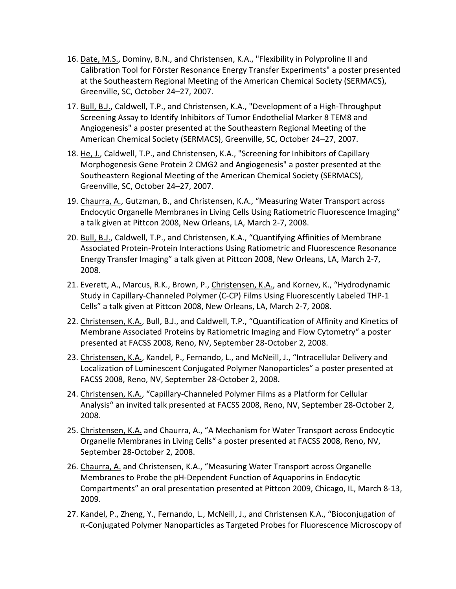- 16. Date, M.S., Dominy, B.N., and Christensen, K.A., "Flexibility in Polyproline II and Calibration Tool for Förster Resonance Energy Transfer Experiments" a poster presented at the Southeastern Regional Meeting of the American Chemical Society (SERMACS), Greenville, SC, October 24–27, 2007.
- 17. Bull, B.J., Caldwell, T.P., and Christensen, K.A., "Development of a High-Throughput Screening Assay to Identify Inhibitors of Tumor Endothelial Marker 8 TEM8 and Angiogenesis" a poster presented at the Southeastern Regional Meeting of the American Chemical Society (SERMACS), Greenville, SC, October 24–27, 2007.
- 18. He, J., Caldwell, T.P., and Christensen, K.A., "Screening for Inhibitors of Capillary Morphogenesis Gene Protein 2 CMG2 and Angiogenesis" a poster presented at the Southeastern Regional Meeting of the American Chemical Society (SERMACS), Greenville, SC, October 24–27, 2007.
- 19. Chaurra, A., Gutzman, B., and Christensen, K.A., "Measuring Water Transport across Endocytic Organelle Membranes in Living Cells Using Ratiometric Fluorescence Imaging" a talk given at Pittcon 2008, New Orleans, LA, March 2-7, 2008.
- 20. Bull, B.J., Caldwell, T.P., and Christensen, K.A., "Quantifying Affinities of Membrane Associated Protein-Protein Interactions Using Ratiometric and Fluorescence Resonance Energy Transfer Imaging" a talk given at Pittcon 2008, New Orleans, LA, March 2-7, 2008.
- 21. Everett, A., Marcus, R.K., Brown, P., Christensen, K.A., and Kornev, K., "Hydrodynamic Study in Capillary-Channeled Polymer (C-CP) Films Using Fluorescently Labeled THP-1 Cells" a talk given at Pittcon 2008, New Orleans, LA, March 2-7, 2008.
- 22. Christensen, K.A., Bull, B.J., and Caldwell, T.P., "Quantification of Affinity and Kinetics of Membrane Associated Proteins by Ratiometric Imaging and Flow Cytometry" a poster presented at FACSS 2008, Reno, NV, September 28-October 2, 2008.
- 23. Christensen, K.A., Kandel, P., Fernando, L., and McNeill, J., "Intracellular Delivery and Localization of Luminescent Conjugated Polymer Nanoparticles" a poster presented at FACSS 2008, Reno, NV, September 28-October 2, 2008.
- 24. Christensen, K.A., "Capillary-Channeled Polymer Films as a Platform for Cellular Analysis" an invited talk presented at FACSS 2008, Reno, NV, September 28-October 2, 2008.
- 25. Christensen, K.A. and Chaurra, A., "A Mechanism for Water Transport across Endocytic Organelle Membranes in Living Cells" a poster presented at FACSS 2008, Reno, NV, September 28-October 2, 2008.
- 26. Chaurra, A. and Christensen, K.A., "Measuring Water Transport across Organelle Membranes to Probe the pH-Dependent Function of Aquaporins in Endocytic Compartments" an oral presentation presented at Pittcon 2009, Chicago, IL, March 8-13, 2009.
- 27. Kandel, P., Zheng, Y., Fernando, L., McNeill, J., and Christensen K.A., "Bioconjugation of π-Conjugated Polymer Nanoparticles as Targeted Probes for Fluorescence Microscopy of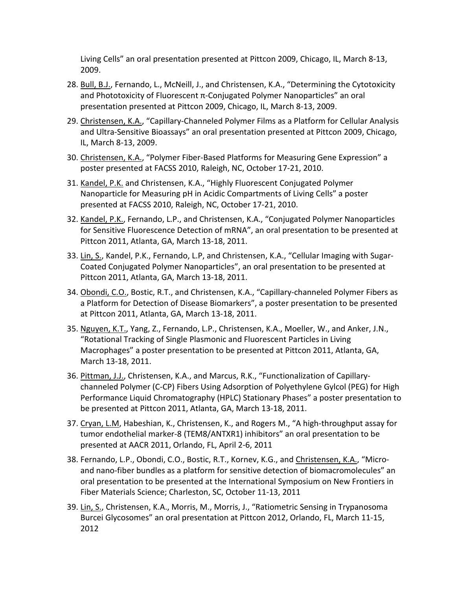Living Cells" an oral presentation presented at Pittcon 2009, Chicago, IL, March 8-13, 2009.

- 28. Bull, B.J., Fernando, L., McNeill, J., and Christensen, K.A., "Determining the Cytotoxicity and Phototoxicity of Fluorescent π-Conjugated Polymer Nanoparticles" an oral presentation presented at Pittcon 2009, Chicago, IL, March 8-13, 2009.
- 29. Christensen, K.A., "Capillary-Channeled Polymer Films as a Platform for Cellular Analysis and Ultra-Sensitive Bioassays" an oral presentation presented at Pittcon 2009, Chicago, IL, March 8-13, 2009.
- 30. Christensen, K.A., "Polymer Fiber-Based Platforms for Measuring Gene Expression" a poster presented at FACSS 2010, Raleigh, NC, October 17-21, 2010.
- 31. Kandel, P.K. and Christensen, K.A., "Highly Fluorescent Conjugated Polymer Nanoparticle for Measuring pH in Acidic Compartments of Living Cells" a poster presented at FACSS 2010, Raleigh, NC, October 17-21, 2010.
- 32. Kandel, P.K., Fernando, L.P., and Christensen, K.A., "Conjugated Polymer Nanoparticles for Sensitive Fluorescence Detection of mRNA", an oral presentation to be presented at Pittcon 2011, Atlanta, GA, March 13-18, 2011.
- 33. Lin, S., Kandel, P.K., Fernando, L.P, and Christensen, K.A., "Cellular Imaging with Sugar-Coated Conjugated Polymer Nanoparticles", an oral presentation to be presented at Pittcon 2011, Atlanta, GA, March 13-18, 2011.
- 34. Obondi, C.O., Bostic, R.T., and Christensen, K.A., "Capillary-channeled Polymer Fibers as a Platform for Detection of Disease Biomarkers", a poster presentation to be presented at Pittcon 2011, Atlanta, GA, March 13-18, 2011.
- 35. Nguyen, K.T., Yang, Z., Fernando, L.P., Christensen, K.A., Moeller, W., and Anker, J.N., "Rotational Tracking of Single Plasmonic and Fluorescent Particles in Living Macrophages" a poster presentation to be presented at Pittcon 2011, Atlanta, GA, March 13-18, 2011.
- 36. Pittman, J.J., Christensen, K.A., and Marcus, R.K., "Functionalization of Capillarychanneled Polymer (C-CP) Fibers Using Adsorption of Polyethylene Gylcol (PEG) for High Performance Liquid Chromatography (HPLC) Stationary Phases" a poster presentation to be presented at Pittcon 2011, Atlanta, GA, March 13-18, 2011.
- 37. Cryan, L.M, Habeshian, K., Christensen, K., and Rogers M., "A high-throughput assay for tumor endothelial marker-8 (TEM8/ANTXR1) inhibitors" an oral presentation to be presented at AACR 2011, Orlando, FL, April 2-6, 2011
- 38. Fernando, L.P., Obondi, C.O., Bostic, R.T., Kornev, K.G., and Christensen, K.A., "Microand nano-fiber bundles as a platform for sensitive detection of biomacromolecules" an oral presentation to be presented at the International Symposium on New Frontiers in Fiber Materials Science; Charleston, SC, October 11-13, 2011
- 39. Lin, S., Christensen, K.A., Morris, M., Morris, J., "Ratiometric Sensing in Trypanosoma Burcei Glycosomes" an oral presentation at Pittcon 2012, Orlando, FL, March 11-15, 2012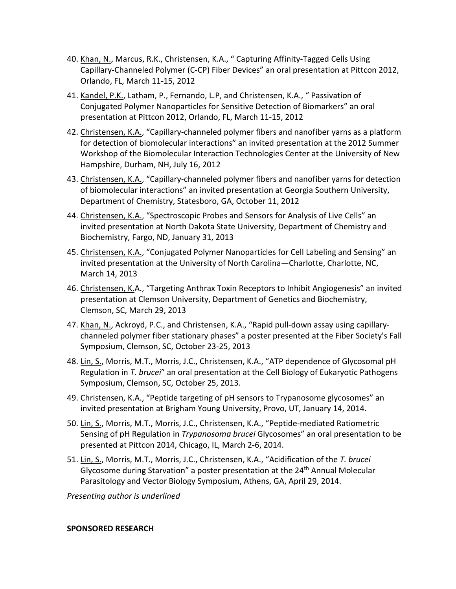- 40. Khan, N., Marcus, R.K., Christensen, K.A., " Capturing Affinity-Tagged Cells Using Capillary-Channeled Polymer (C-CP) Fiber Devices" an oral presentation at Pittcon 2012, Orlando, FL, March 11-15, 2012
- 41. Kandel, P.K., Latham, P., Fernando, L.P, and Christensen, K.A., " Passivation of Conjugated Polymer Nanoparticles for Sensitive Detection of Biomarkers" an oral presentation at Pittcon 2012, Orlando, FL, March 11-15, 2012
- 42. Christensen, K.A., "Capillary-channeled polymer fibers and nanofiber yarns as a platform for detection of biomolecular interactions" an invited presentation at the 2012 Summer Workshop of the Biomolecular Interaction Technologies Center at the University of New Hampshire, Durham, NH, July 16, 2012
- 43. Christensen, K.A., "Capillary-channeled polymer fibers and nanofiber yarns for detection of biomolecular interactions" an invited presentation at Georgia Southern University, Department of Chemistry, Statesboro, GA, October 11, 2012
- 44. Christensen, K.A., "Spectroscopic Probes and Sensors for Analysis of Live Cells" an invited presentation at North Dakota State University, Department of Chemistry and Biochemistry, Fargo, ND, January 31, 2013
- 45. Christensen, K.A., "Conjugated Polymer Nanoparticles for Cell Labeling and Sensing" an invited presentation at the University of North Carolina—Charlotte, Charlotte, NC, March 14, 2013
- 46. Christensen, K.A., "Targeting Anthrax Toxin Receptors to Inhibit Angiogenesis" an invited presentation at Clemson University, Department of Genetics and Biochemistry, Clemson, SC, March 29, 2013
- 47. Khan, N., Ackroyd, P.C., and Christensen, K.A., "Rapid pull-down assay using capillarychanneled polymer fiber stationary phases" a poster presented at the Fiber Society's Fall Symposium, Clemson, SC, October 23-25, 2013
- 48. Lin, S., Morris, M.T., Morris, J.C., Christensen, K.A., "ATP dependence of Glycosomal pH Regulation in *T. brucei*" an oral presentation at the Cell Biology of Eukaryotic Pathogens Symposium, Clemson, SC, October 25, 2013.
- 49. Christensen, K.A., "Peptide targeting of pH sensors to Trypanosome glycosomes" an invited presentation at Brigham Young University, Provo, UT, January 14, 2014.
- 50. Lin, S., Morris, M.T., Morris, J.C., Christensen, K.A., "Peptide-mediated Ratiometric Sensing of pH Regulation in *Trypanosoma brucei* Glycosomes" an oral presentation to be presented at Pittcon 2014, Chicago, IL, March 2-6, 2014.
- 51. Lin, S., Morris, M.T., Morris, J.C., Christensen, K.A., "Acidification of the *T. brucei* Glycosome during Starvation" a poster presentation at the 24<sup>th</sup> Annual Molecular Parasitology and Vector Biology Symposium, Athens, GA, April 29, 2014.

*Presenting author is underlined*

#### **SPONSORED RESEARCH**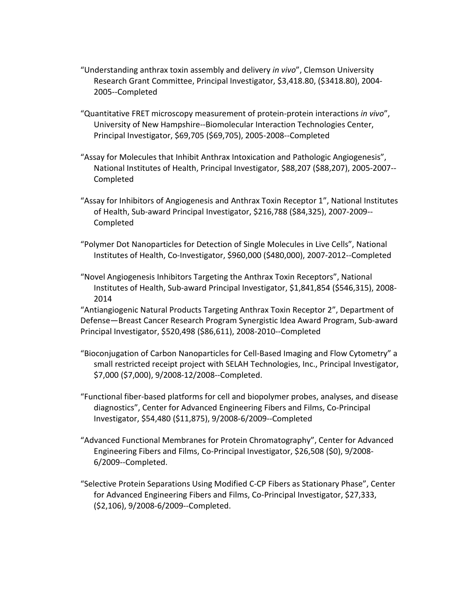- "Understanding anthrax toxin assembly and delivery *in vivo*", Clemson University Research Grant Committee, Principal Investigator, \$3,418.80, (\$3418.80), 2004- 2005--Completed
- "Quantitative FRET microscopy measurement of protein-protein interactions *in vivo*", University of New Hampshire--Biomolecular Interaction Technologies Center, Principal Investigator, \$69,705 (\$69,705), 2005-2008--Completed
- "Assay for Molecules that Inhibit Anthrax Intoxication and Pathologic Angiogenesis", National Institutes of Health, Principal Investigator, \$88,207 (\$88,207), 2005-2007-- Completed
- "Assay for Inhibitors of Angiogenesis and Anthrax Toxin Receptor 1", National Institutes of Health, Sub-award Principal Investigator, \$216,788 (\$84,325), 2007-2009-- Completed
- "Polymer Dot Nanoparticles for Detection of Single Molecules in Live Cells", National Institutes of Health, Co-Investigator, \$960,000 (\$480,000), 2007-2012--Completed
- "Novel Angiogenesis Inhibitors Targeting the Anthrax Toxin Receptors", National Institutes of Health, Sub-award Principal Investigator, \$1,841,854 (\$546,315), 2008- 2014

"Antiangiogenic Natural Products Targeting Anthrax Toxin Receptor 2", Department of Defense—Breast Cancer Research Program Synergistic Idea Award Program, Sub-award Principal Investigator, \$520,498 (\$86,611), 2008-2010--Completed

- "Bioconjugation of Carbon Nanoparticles for Cell-Based Imaging and Flow Cytometry" a small restricted receipt project with SELAH Technologies, Inc., Principal Investigator, \$7,000 (\$7,000), 9/2008-12/2008--Completed.
- "Functional fiber-based platforms for cell and biopolymer probes, analyses, and disease diagnostics", Center for Advanced Engineering Fibers and Films, Co-Principal Investigator, \$54,480 (\$11,875), 9/2008-6/2009--Completed
- "Advanced Functional Membranes for Protein Chromatography", Center for Advanced Engineering Fibers and Films, Co-Principal Investigator, \$26,508 (\$0), 9/2008- 6/2009--Completed.
- "Selective Protein Separations Using Modified C-CP Fibers as Stationary Phase", Center for Advanced Engineering Fibers and Films, Co-Principal Investigator, \$27,333, (\$2,106), 9/2008-6/2009--Completed.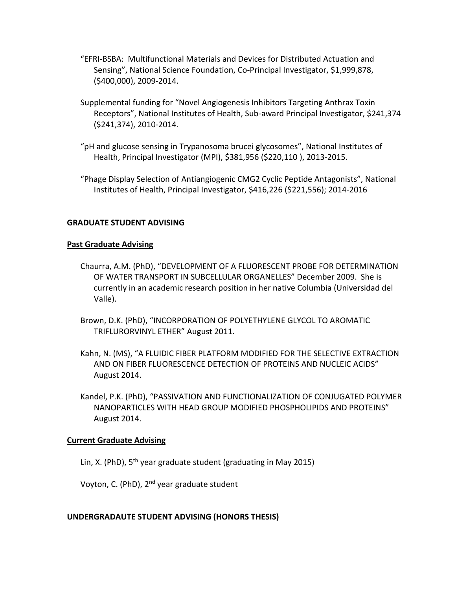- "EFRI-BSBA: Multifunctional Materials and Devices for Distributed Actuation and Sensing", National Science Foundation, Co-Principal Investigator, \$1,999,878, (\$400,000), 2009-2014.
- Supplemental funding for "Novel Angiogenesis Inhibitors Targeting Anthrax Toxin Receptors", National Institutes of Health, Sub-award Principal Investigator, \$241,374 (\$241,374), 2010-2014.
- "pH and glucose sensing in Trypanosoma brucei glycosomes", National Institutes of Health, Principal Investigator (MPI), \$381,956 (\$220,110 ), 2013-2015.
- "Phage Display Selection of Antiangiogenic CMG2 Cyclic Peptide Antagonists", National Institutes of Health, Principal Investigator, \$416,226 (\$221,556); 2014-2016

## **GRADUATE STUDENT ADVISING**

## **Past Graduate Advising**

- Chaurra, A.M. (PhD), "DEVELOPMENT OF A FLUORESCENT PROBE FOR DETERMINATION OF WATER TRANSPORT IN SUBCELLULAR ORGANELLES" December 2009. She is currently in an academic research position in her native Columbia (Universidad del Valle).
- Brown, D.K. (PhD), "INCORPORATION OF POLYETHYLENE GLYCOL TO AROMATIC TRIFLURORVINYL ETHER" August 2011.
- Kahn, N. (MS), "A FLUIDIC FIBER PLATFORM MODIFIED FOR THE SELECTIVE EXTRACTION AND ON FIBER FLUORESCENCE DETECTION OF PROTEINS AND NUCLEIC ACIDS" August 2014.
- Kandel, P.K. (PhD), "PASSIVATION AND FUNCTIONALIZATION OF CONJUGATED POLYMER NANOPARTICLES WITH HEAD GROUP MODIFIED PHOSPHOLIPIDS AND PROTEINS" August 2014.

#### **Current Graduate Advising**

Lin, X. (PhD),  $5<sup>th</sup>$  year graduate student (graduating in May 2015)

Voyton, C. (PhD), 2<sup>nd</sup> year graduate student

#### **UNDERGRADAUTE STUDENT ADVISING (HONORS THESIS)**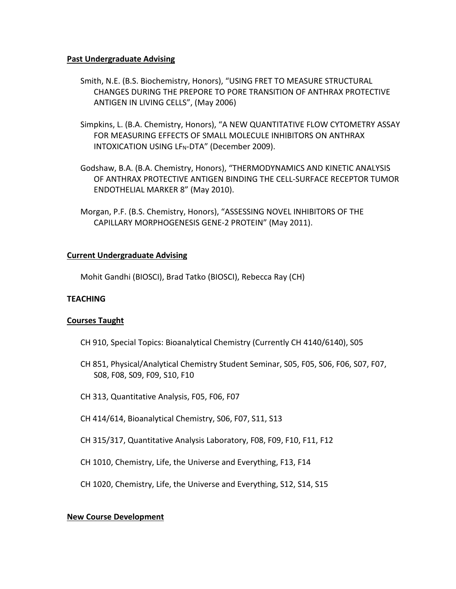## **Past Undergraduate Advising**

- Smith, N.E. (B.S. Biochemistry, Honors), "USING FRET TO MEASURE STRUCTURAL CHANGES DURING THE PREPORE TO PORE TRANSITION OF ANTHRAX PROTECTIVE ANTIGEN IN LIVING CELLS", (May 2006)
- Simpkins, L. (B.A. Chemistry, Honors), "A NEW QUANTITATIVE FLOW CYTOMETRY ASSAY FOR MEASURING EFFECTS OF SMALL MOLECULE INHIBITORS ON ANTHRAX INTOXICATION USING LF<sub>N</sub>-DTA" (December 2009).
- Godshaw, B.A. (B.A. Chemistry, Honors), "THERMODYNAMICS AND KINETIC ANALYSIS OF ANTHRAX PROTECTIVE ANTIGEN BINDING THE CELL-SURFACE RECEPTOR TUMOR ENDOTHELIAL MARKER 8" (May 2010).
- Morgan, P.F. (B.S. Chemistry, Honors), "ASSESSING NOVEL INHIBITORS OF THE CAPILLARY MORPHOGENESIS GENE-2 PROTEIN" (May 2011).

# **Current Undergraduate Advising**

Mohit Gandhi (BIOSCI), Brad Tatko (BIOSCI), Rebecca Ray (CH)

#### **TEACHING**

#### **Courses Taught**

- CH 910, Special Topics: Bioanalytical Chemistry (Currently CH 4140/6140), S05
- CH 851, Physical/Analytical Chemistry Student Seminar, S05, F05, S06, F06, S07, F07, S08, F08, S09, F09, S10, F10
- CH 313, Quantitative Analysis, F05, F06, F07
- CH 414/614, Bioanalytical Chemistry, S06, F07, S11, S13
- CH 315/317, Quantitative Analysis Laboratory, F08, F09, F10, F11, F12
- CH 1010, Chemistry, Life, the Universe and Everything, F13, F14

CH 1020, Chemistry, Life, the Universe and Everything, S12, S14, S15

# **New Course Development**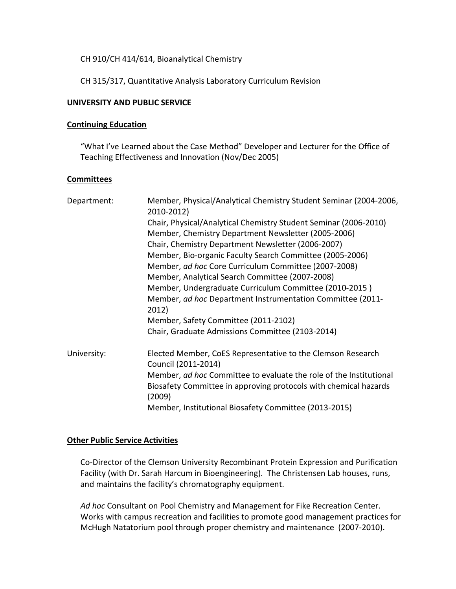CH 910/CH 414/614, Bioanalytical Chemistry

CH 315/317, Quantitative Analysis Laboratory Curriculum Revision

# **UNIVERSITY AND PUBLIC SERVICE**

## **Continuing Education**

"What I've Learned about the Case Method" Developer and Lecturer for the Office of Teaching Effectiveness and Innovation (Nov/Dec 2005)

## **Committees**

| Department: | Member, Physical/Analytical Chemistry Student Seminar (2004-2006,<br>2010-2012)                                                                  |
|-------------|--------------------------------------------------------------------------------------------------------------------------------------------------|
|             | Chair, Physical/Analytical Chemistry Student Seminar (2006-2010)                                                                                 |
|             | Member, Chemistry Department Newsletter (2005-2006)                                                                                              |
|             | Chair, Chemistry Department Newsletter (2006-2007)                                                                                               |
|             | Member, Bio-organic Faculty Search Committee (2005-2006)                                                                                         |
|             | Member, ad hoc Core Curriculum Committee (2007-2008)                                                                                             |
|             | Member, Analytical Search Committee (2007-2008)                                                                                                  |
|             | Member, Undergraduate Curriculum Committee (2010-2015)                                                                                           |
|             | Member, ad hoc Department Instrumentation Committee (2011-<br>2012)                                                                              |
|             | Member, Safety Committee (2011-2102)                                                                                                             |
|             | Chair, Graduate Admissions Committee (2103-2014)                                                                                                 |
| University: | Elected Member, CoES Representative to the Clemson Research                                                                                      |
|             | Council (2011-2014)                                                                                                                              |
|             | Member, ad hoc Committee to evaluate the role of the Institutional<br>Biosafety Committee in approving protocols with chemical hazards<br>(2009) |
|             | Member, Institutional Biosafety Committee (2013-2015)                                                                                            |

#### **Other Public Service Activities**

Co-Director of the Clemson University Recombinant Protein Expression and Purification Facility (with Dr. Sarah Harcum in Bioengineering). The Christensen Lab houses, runs, and maintains the facility's chromatography equipment.

*Ad hoc* Consultant on Pool Chemistry and Management for Fike Recreation Center. Works with campus recreation and facilities to promote good management practices for McHugh Natatorium pool through proper chemistry and maintenance (2007-2010).